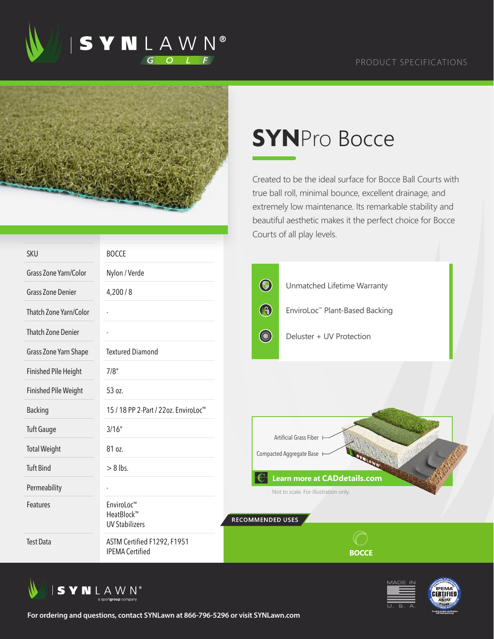



## **SYN**Pro Bocce

Created to be the ideal surface for Bocce Ball Courts with true ball roll, minimal bounce, excellent drainage, and extremely low maintenance. Its remarkable stability and beautiful aesthetic makes it the perfect choice for Bocce Courts of all play levels.

| <b>SKU</b>                  | <b>BOCCE</b>                                          |                                                                             |                                            |  |  |
|-----------------------------|-------------------------------------------------------|-----------------------------------------------------------------------------|--------------------------------------------|--|--|
| Grass Zone Yarn/Color       | Nylon / Verde                                         |                                                                             |                                            |  |  |
| <b>Grass Zone Denier</b>    | 4,200/8                                               | $\bigcirc$                                                                  | Unmatched Lifetime Warranty                |  |  |
| Thatch Zone Yarn/Color      |                                                       | $\bigcirc$                                                                  | EnviroLoc <sup>™</sup> Plant-Based Backing |  |  |
| <b>Thatch Zone Denier</b>   |                                                       | <b>County</b>                                                               | Deluster + UV Protection                   |  |  |
| Grass Zone Yarn Shape       | <b>Textured Diamond</b>                               |                                                                             |                                            |  |  |
| <b>Finished Pile Height</b> | 7/8''                                                 |                                                                             |                                            |  |  |
| <b>Finished Pile Weight</b> | 53 oz.                                                |                                                                             |                                            |  |  |
| <b>Backing</b>              | 15 / 18 PP 2-Part / 22oz. EnviroLoc <sup>™</sup>      |                                                                             |                                            |  |  |
| <b>Tuft Gauge</b>           | 3/16''                                                |                                                                             | Artificial Grass Fiber                     |  |  |
| <b>Total Weight</b>         | 81 oz.                                                | Compacted Aggregate Base                                                    |                                            |  |  |
| <b>Tuft Bind</b>            | $> 8$ lbs.                                            |                                                                             |                                            |  |  |
| Permeability                |                                                       | <b>Learn more at CADdetails.com</b><br>Not to scale. For illustration only. |                                            |  |  |
| Features                    | EnviroLoc™<br>HeatBlock™<br><b>UV Stabilizers</b>     | RECOMMENDED USES                                                            |                                            |  |  |
| <b>Test Data</b>            | ASTM Certified F1292, F1951<br><b>IPEMA Certified</b> |                                                                             | <b>BOCCE</b>                               |  |  |





**For ordering and questions, contact SYNLawn at 866-796-5296 or visit SYNLawn.com**